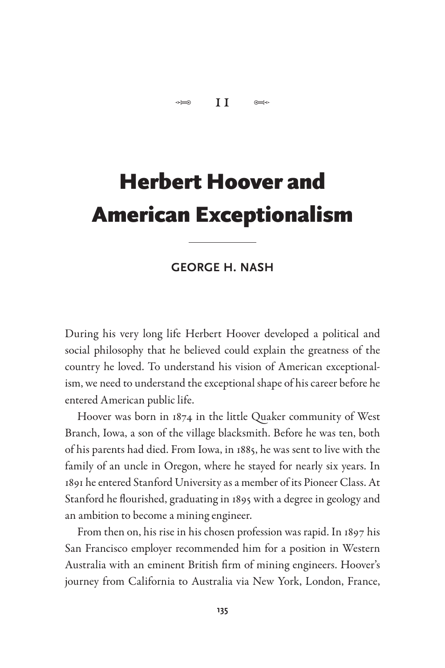-11

# Herbert Hoover and American Exceptionalism

## **GEORGE H. NASH**

During his very long life Herbert Hoover developed a political and social philosophy that he believed could explain the greatness of the country he loved. To understand his vision of American exceptionalism, we need to understand the exceptional shape of his career before he entered American public life.

Hoover was born in 1874 in the little Quaker community of West Branch, Iowa, a son of the village blacksmith. Before he was ten, both of his parents had died. From Iowa, in 1885, he was sent to live with the family of an uncle in Oregon, where he stayed for nearly six years. In 1891 he entered Stanford University as a member of its Pioneer Class. At Stanford he flourished, graduating in 1895 with a degree in geology and an ambition to become a mining engineer.

From then on, his rise in his chosen profession was rapid. In 1897 his San Francisco employer recommended him for a position in Western Australia with an eminent British firm of mining engineers. Hoover's journey from California to Australia via New York, London, France,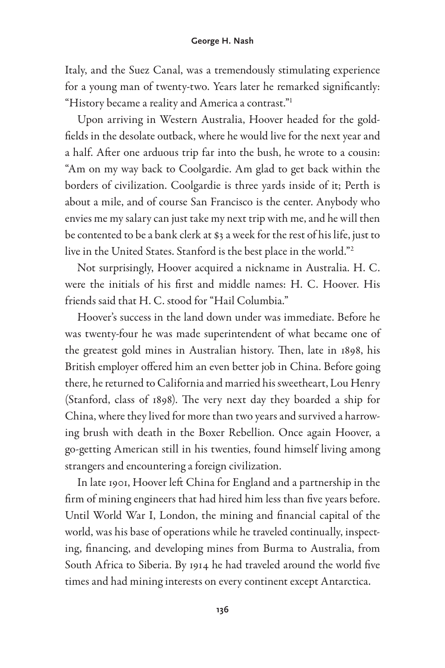### **George H. Nash**

Italy, and the Suez Canal, was a tremendously stimulating experience for a young man of twenty-two. Years later he remarked significantly: "History became a reality and America a contrast."<sup>1</sup>

Upon arriving in Western Australia, Hoover headed for the goldfields in the desolate outback, where he would live for the next year and a half. After one arduous trip far into the bush, he wrote to a cousin: "Am on my way back to Coolgardie. Am glad to get back within the borders of civilization. Coolgardie is three yards inside of it; Perth is about a mile, and of course San Francisco is the center. Anybody who envies me my salary can just take my next trip with me, and he will then be contented to be a bank clerk at \$3 a week for the rest of his life, just to live in the United States. Stanford is the best place in the world."2

Not surprisingly, Hoover acquired a nickname in Australia. H. C. were the initials of his first and middle names: H. C. Hoover. His friends said that H. C. stood for "Hail Columbia."

Hoover's success in the land down under was immediate. Before he was twenty-four he was made superintendent of what became one of the greatest gold mines in Australian history. Then, late in 1898, his British employer offered him an even better job in China. Before going there, he returned to California and married his sweetheart, Lou Henry (Stanford, class of 1898). The very next day they boarded a ship for China, where they lived for more than two years and survived a harrowing brush with death in the Boxer Rebellion. Once again Hoover, a go- getting American still in his twenties, found himself living among strangers and encountering a foreign civilization.

In late 1901, Hoover left China for England and a partnership in the firm of mining engineers that had hired him less than five years before. Until World War I, London, the mining and financial capital of the world, was his base of operations while he traveled continually, inspecting, financing, and developing mines from Burma to Australia, from South Africa to Siberia. By 1914 he had traveled around the world five times and had mining interests on every continent except Antarctica.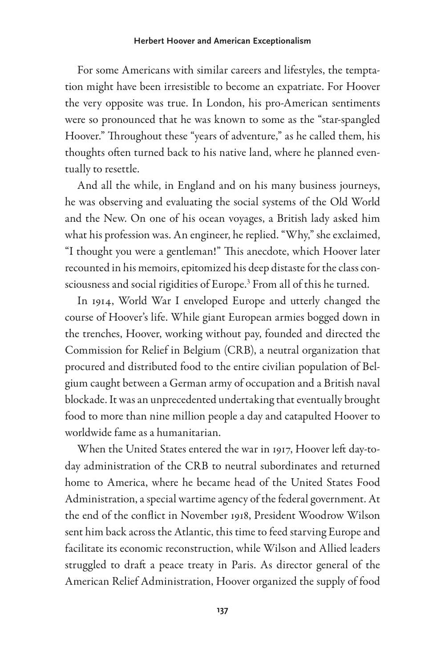#### **Herbert Hoover and American Exceptionalism**

For some Americans with similar careers and lifestyles, the temptation might have been irresistible to become an expatriate. For Hoover the very opposite was true. In London, his pro-American sentiments were so pronounced that he was known to some as the "star-spangled Hoover." Throughout these "years of adventure," as he called them, his thoughts often turned back to his native land, where he planned eventually to resettle.

And all the while, in England and on his many business journeys, he was observing and evaluating the social systems of the Old World and the New. On one of his ocean voyages, a British lady asked him what his profession was. An engineer, he replied. "Why," she exclaimed, "I thought you were a gentleman!" This anecdote, which Hoover later recounted in his memoirs, epitomized his deep distaste for the class consciousness and social rigidities of Europe.<sup>3</sup> From all of this he turned.

In 1914, World War I enveloped Europe and utterly changed the course of Hoover's life. While giant European armies bogged down in the trenches, Hoover, working without pay, founded and directed the Commission for Relief in Belgium (CRB), a neutral organization that procured and distributed food to the entire civilian population of Belgium caught between a German army of occupation and a British naval blockade. It was an unprecedented undertaking that eventually brought food to more than nine million people a day and catapulted Hoover to worldwide fame as a humanitarian.

When the United States entered the war in 1917, Hoover left day-today administration of the CRB to neutral subordinates and returned home to America, where he became head of the United States Food Administration, a special wartime agency of the federal government. At the end of the conflict in November 1918, President Woodrow Wilson sent him back across the Atlantic, this time to feed starving Europe and facilitate its economic reconstruction, while Wilson and Allied leaders struggled to draft a peace treaty in Paris. As director general of the American Relief Administration, Hoover organized the supply of food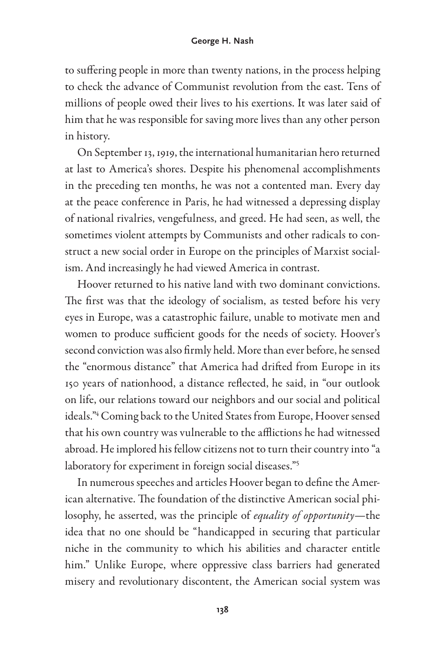to suffering people in more than twenty nations, in the process helping to check the advance of Communist revolution from the east. Tens of millions of people owed their lives to his exertions. It was later said of him that he was responsible for saving more lives than any other person in history.

On September 13, 1919, the international humanitarian hero returned at last to America's shores. Despite his phenomenal accomplishments in the preceding ten months, he was not a contented man. Every day at the peace conference in Paris, he had witnessed a depressing display of national rivalries, vengefulness, and greed. He had seen, as well, the sometimes violent attempts by Communists and other radicals to construct a new social order in Europe on the principles of Marxist socialism. And increasingly he had viewed America in contrast.

Hoover returned to his native land with two dominant convictions. The first was that the ideology of socialism, as tested before his very eyes in Europe, was a catastrophic failure, unable to motivate men and women to produce sufficient goods for the needs of society. Hoover's second conviction was also firmly held. More than ever before, he sensed the "enormous distance" that America had drifted from Europe in its 150 years of nationhood, a distance reflected, he said, in "our outlook on life, our relations toward our neighbors and our social and political ideals."4 Coming back to the United States from Europe, Hoover sensed that his own country was vulnerable to the afflictions he had witnessed abroad. He implored his fellow citizens not to turn their country into "a laboratory for experiment in foreign social diseases."5

In numerous speeches and articles Hoover began to define the American alternative. The foundation of the distinctive American social philosophy, he asserted, was the principle of *equality of opportunity*—the idea that no one should be "handicapped in securing that particular niche in the community to which his abilities and character entitle him." Unlike Europe, where oppressive class barriers had generated misery and revolutionary discontent, the American social system was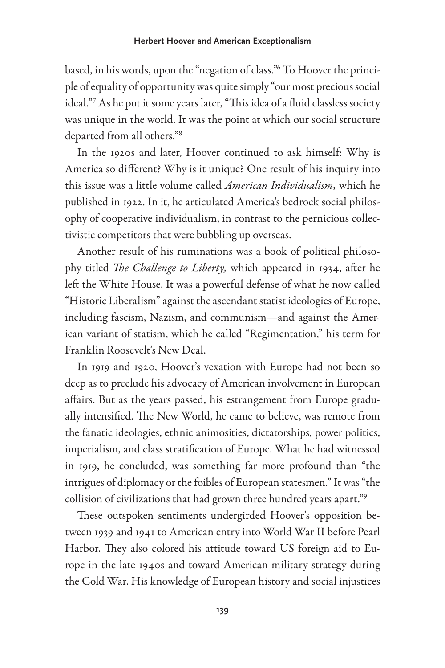#### **Herbert Hoover and American Exceptionalism**

based, in his words, upon the "negation of class."6 To Hoover the principle of equality of opportunity was quite simply "our most precious social ideal."7 As he put it some years later, "This idea of a fluid classless society was unique in the world. It was the point at which our social structure departed from all others."8

In the 1920s and later, Hoover continued to ask himself: Why is America so different? Why is it unique? One result of his inquiry into this issue was a little volume called *American Individualism,* which he published in 1922. In it, he articulated America's bedrock social philosophy of cooperative individualism, in contrast to the pernicious collectivistic competitors that were bubbling up overseas.

Another result of his ruminations was a book of political philosophy titled *The Challenge to Liberty*, which appeared in 1934, after he left the White House. It was a powerful defense of what he now called "Historic Liberalism" against the ascendant statist ideologies of Europe, including fascism, Nazism, and communism—and against the American variant of statism, which he called "Regimentation," his term for Franklin Roosevelt's New Deal.

In 1919 and 1920, Hoover's vexation with Europe had not been so deep as to preclude his advocacy of American involvement in European affairs. But as the years passed, his estrangement from Europe gradually intensified. The New World, he came to believe, was remote from the fanatic ideologies, ethnic animosities, dictatorships, power politics, imperialism, and class stratification of Europe. What he had witnessed in 1919, he concluded, was something far more profound than "the intrigues of diplomacy or the foibles of European statesmen." It was "the collision of civilizations that had grown three hundred years apart."9

These outspoken sentiments undergirded Hoover's opposition between 1939 and 1941 to American entry into World War II before Pearl Harbor. They also colored his attitude toward US foreign aid to Europe in the late 1940s and toward American military strategy during the Cold War. His knowledge of European history and social injustices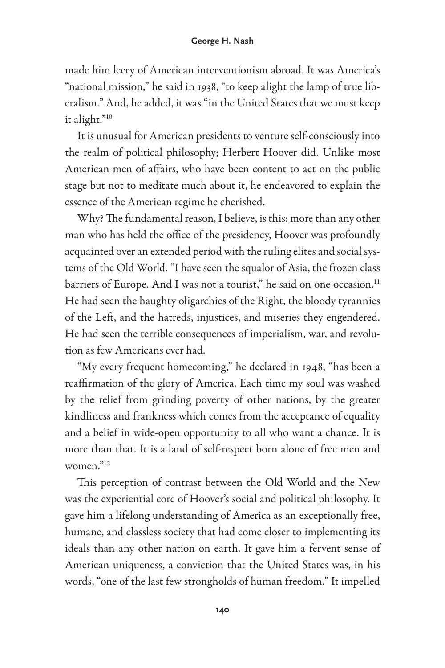#### **George H. Nash**

made him leery of American interventionism abroad. It was America's "national mission," he said in 1938, "to keep alight the lamp of true liberalism." And, he added, it was "in the United States that we must keep it alight."10

It is unusual for American presidents to venture self- consciously into the realm of political philosophy; Herbert Hoover did. Unlike most American men of affairs, who have been content to act on the public stage but not to meditate much about it, he endeavored to explain the essence of the American regime he cherished.

Why? The fundamental reason, I believe, is this: more than any other man who has held the office of the presidency, Hoover was profoundly acquainted over an extended period with the ruling elites and social systems of the Old World. "I have seen the squalor of Asia, the frozen class barriers of Europe. And I was not a tourist," he said on one occasion.<sup>11</sup> He had seen the haughty oligarchies of the Right, the bloody tyrannies of the Left, and the hatreds, injustices, and miseries they engendered. He had seen the terrible consequences of imperialism, war, and revolution as few Americans ever had.

"My every frequent homecoming," he declared in 1948, "has been a reaffirmation of the glory of America. Each time my soul was washed by the relief from grinding poverty of other nations, by the greater kindliness and frankness which comes from the acceptance of equality and a belief in wide- open opportunity to all who want a chance. It is more than that. It is a land of self-respect born alone of free men and women."12

This perception of contrast between the Old World and the New was the experiential core of Hoover's social and political philosophy. It gave him a lifelong understanding of America as an exceptionally free, humane, and classless society that had come closer to implementing its ideals than any other nation on earth. It gave him a fervent sense of American uniqueness, a conviction that the United States was, in his words, "one of the last few strongholds of human freedom." It impelled